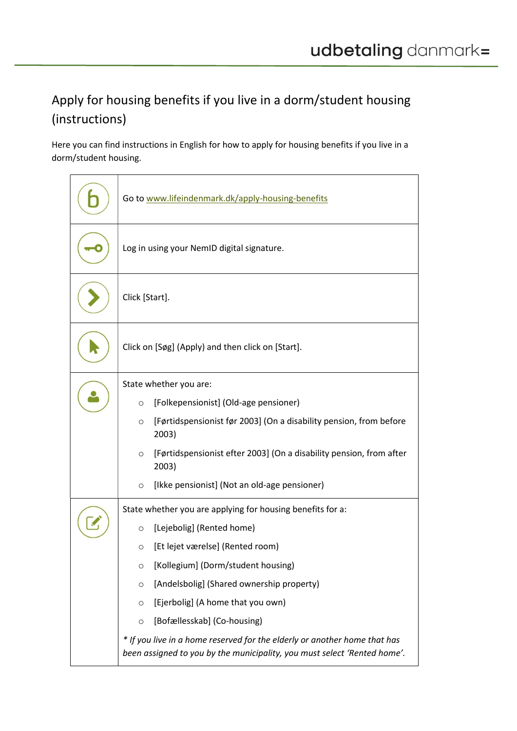## Apply for housing benefits if you live in a dorm/student housing (instructions)

Here you can find instructions in English for how to apply for housing benefits if you live in a dorm/student housing.

| Go to www.lifeindenmark.dk/apply-housing-benefits                                                                                                     |  |
|-------------------------------------------------------------------------------------------------------------------------------------------------------|--|
| Log in using your NemID digital signature.                                                                                                            |  |
| Click [Start].                                                                                                                                        |  |
| Click on [Søg] (Apply) and then click on [Start].                                                                                                     |  |
| State whether you are:                                                                                                                                |  |
| [Folkepensionist] (Old-age pensioner)<br>O                                                                                                            |  |
| [Førtidspensionist før 2003] (On a disability pension, from before<br>O<br>2003)                                                                      |  |
| [Førtidspensionist efter 2003] (On a disability pension, from after<br>O<br>2003)                                                                     |  |
| [Ikke pensionist] (Not an old-age pensioner)<br>O                                                                                                     |  |
| State whether you are applying for housing benefits for a:                                                                                            |  |
| [Lejebolig] (Rented home)<br>$\circ$                                                                                                                  |  |
| [Et lejet værelse] (Rented room)<br>O                                                                                                                 |  |
| [Kollegium] (Dorm/student housing)<br>O                                                                                                               |  |
| [Andelsbolig] (Shared ownership property)<br>$\circ$                                                                                                  |  |
| [Ejerbolig] (A home that you own)<br>$\circ$                                                                                                          |  |
| [Bofællesskab] (Co-housing)<br>$\circ$                                                                                                                |  |
| * If you live in a home reserved for the elderly or another home that has<br>been assigned to you by the municipality, you must select 'Rented home'. |  |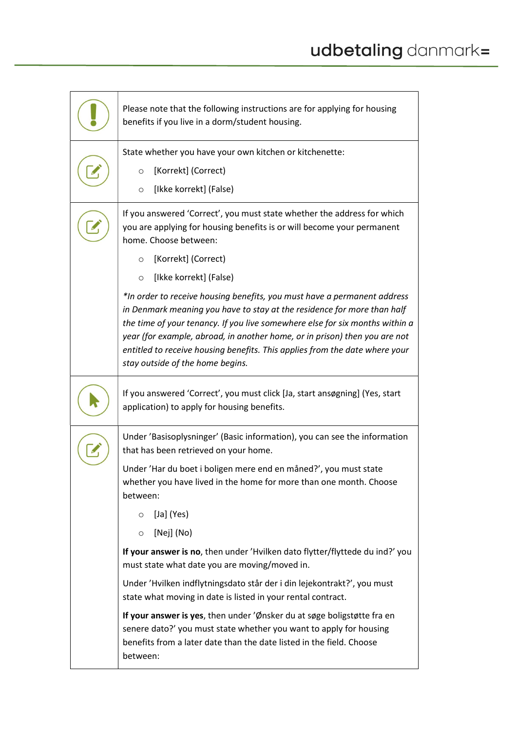| Please note that the following instructions are for applying for housing<br>benefits if you live in a dorm/student housing.                                                                                                                                                                                                                                                                                                          |
|--------------------------------------------------------------------------------------------------------------------------------------------------------------------------------------------------------------------------------------------------------------------------------------------------------------------------------------------------------------------------------------------------------------------------------------|
| State whether you have your own kitchen or kitchenette:                                                                                                                                                                                                                                                                                                                                                                              |
| [Korrekt] (Correct)<br>O                                                                                                                                                                                                                                                                                                                                                                                                             |
| [Ikke korrekt] (False)<br>$\circ$                                                                                                                                                                                                                                                                                                                                                                                                    |
| If you answered 'Correct', you must state whether the address for which<br>you are applying for housing benefits is or will become your permanent<br>home. Choose between:                                                                                                                                                                                                                                                           |
| [Korrekt] (Correct)<br>$\circ$                                                                                                                                                                                                                                                                                                                                                                                                       |
| [Ikke korrekt] (False)<br>$\circ$                                                                                                                                                                                                                                                                                                                                                                                                    |
| *In order to receive housing benefits, you must have a permanent address<br>in Denmark meaning you have to stay at the residence for more than half<br>the time of your tenancy. If you live somewhere else for six months within a<br>year (for example, abroad, in another home, or in prison) then you are not<br>entitled to receive housing benefits. This applies from the date where your<br>stay outside of the home begins. |
| If you answered 'Correct', you must click [Ja, start ansøgning] (Yes, start<br>application) to apply for housing benefits.                                                                                                                                                                                                                                                                                                           |
| Under 'Basisoplysninger' (Basic information), you can see the information<br>that has been retrieved on your home.                                                                                                                                                                                                                                                                                                                   |
| Under 'Har du boet i boligen mere end en måned?', you must state<br>whether you have lived in the home for more than one month. Choose<br>between:                                                                                                                                                                                                                                                                                   |
| $[Ja]$ (Yes)<br>$\circ$                                                                                                                                                                                                                                                                                                                                                                                                              |
| [Nej] (No)<br>$\circ$                                                                                                                                                                                                                                                                                                                                                                                                                |
| If your answer is no, then under 'Hvilken dato flytter/flyttede du ind?' you<br>must state what date you are moving/moved in.                                                                                                                                                                                                                                                                                                        |
| Under 'Hvilken indflytningsdato står der i din lejekontrakt?', you must<br>state what moving in date is listed in your rental contract.                                                                                                                                                                                                                                                                                              |
| If your answer is yes, then under 'Ønsker du at søge boligstøtte fra en<br>senere dato?' you must state whether you want to apply for housing<br>benefits from a later date than the date listed in the field. Choose<br>between:                                                                                                                                                                                                    |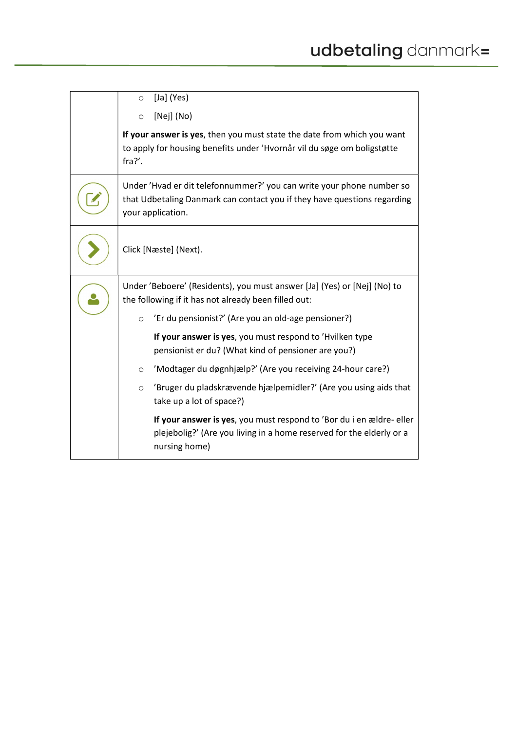| [Ja] $(Yes)$<br>$\circ$                                                                                                                                                |
|------------------------------------------------------------------------------------------------------------------------------------------------------------------------|
| [Nej] (No)<br>$\circ$                                                                                                                                                  |
| If your answer is yes, then you must state the date from which you want<br>to apply for housing benefits under 'Hvornår vil du søge om boligstøtte<br>fra?'.           |
| Under 'Hvad er dit telefonnummer?' you can write your phone number so<br>that Udbetaling Danmark can contact you if they have questions regarding<br>your application. |
| Click [Næste] (Next).                                                                                                                                                  |
| Under 'Beboere' (Residents), you must answer [Ja] (Yes) or [Nej] (No) to<br>the following if it has not already been filled out:                                       |
| 'Er du pensionist?' (Are you an old-age pensioner?)<br>$\circ$                                                                                                         |
| If your answer is yes, you must respond to 'Hvilken type<br>pensionist er du? (What kind of pensioner are you?)                                                        |
| 'Modtager du døgnhjælp?' (Are you receiving 24-hour care?)<br>$\circ$                                                                                                  |
| 'Bruger du pladskrævende hjælpemidler?' (Are you using aids that<br>$\circ$<br>take up a lot of space?)                                                                |
| If your answer is yes, you must respond to 'Bor du i en ældre- eller<br>plejebolig?' (Are you living in a home reserved for the elderly or a<br>nursing home)          |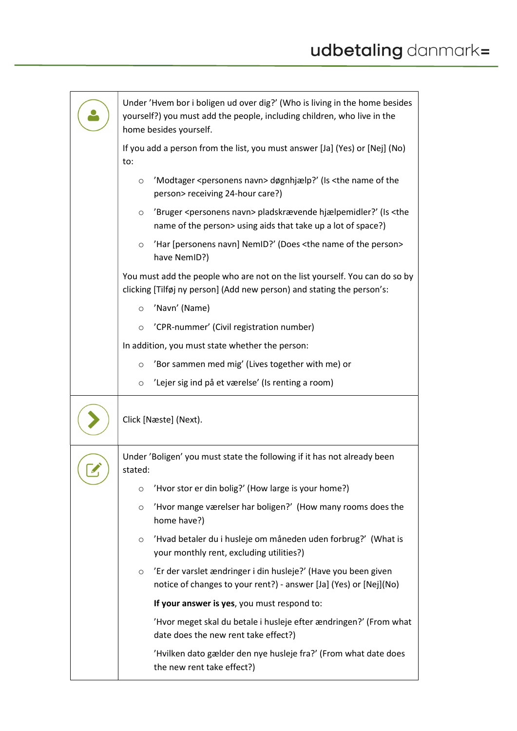| Under 'Hvem bor i boligen ud over dig?' (Who is living in the home besides<br>yourself?) you must add the people, including children, who live in the<br>home besides yourself.  |  |
|----------------------------------------------------------------------------------------------------------------------------------------------------------------------------------|--|
| If you add a person from the list, you must answer [Ja] (Yes) or [Nej] (No)<br>to:                                                                                               |  |
| 'Modtager <personens navn=""> døgnhjælp?' (Is <the name="" of="" the<br=""><math>\circ</math><br/>person&gt; receiving 24-hour care?)</the></personens>                          |  |
| 'Bruger <personens navn=""> pladskrævende hjælpemidler?' (Is <the<br><math>\circ</math><br/>name of the person&gt; using aids that take up a lot of space?)</the<br></personens> |  |
| 'Har [personens navn] NemID?' (Does <the name="" of="" person="" the=""><br/><math>\circ</math><br/>have NemID?)</the>                                                           |  |
| You must add the people who are not on the list yourself. You can do so by<br>clicking [Tilføj ny person] (Add new person) and stating the person's:                             |  |
| 'Navn' (Name)<br>$\circ$                                                                                                                                                         |  |
| 'CPR-nummer' (Civil registration number)<br>$\circ$                                                                                                                              |  |
| In addition, you must state whether the person:                                                                                                                                  |  |
| 'Bor sammen med mig' (Lives together with me) or<br>$\circ$                                                                                                                      |  |
| 'Lejer sig ind på et værelse' (Is renting a room)<br>$\circ$                                                                                                                     |  |
| Click [Næste] (Next).                                                                                                                                                            |  |
| Under 'Boligen' you must state the following if it has not already been<br>stated:                                                                                               |  |
| 'Hvor stor er din bolig?' (How large is your home?)<br>O                                                                                                                         |  |
| 'Hvor mange værelser har boligen?' (How many rooms does the<br>$\circ$<br>home have?)                                                                                            |  |
| 'Hvad betaler du i husleje om måneden uden forbrug?' (What is<br>$\circ$<br>your monthly rent, excluding utilities?)                                                             |  |
| 'Er der varslet ændringer i din husleje?' (Have you been given<br>$\circ$<br>notice of changes to your rent?) - answer [Ja] (Yes) or [Nej](No)                                   |  |
| If your answer is yes, you must respond to:                                                                                                                                      |  |
| 'Hvor meget skal du betale i husleje efter ændringen?' (From what<br>date does the new rent take effect?)                                                                        |  |
| 'Hvilken dato gælder den nye husleje fra?' (From what date does<br>the new rent take effect?)                                                                                    |  |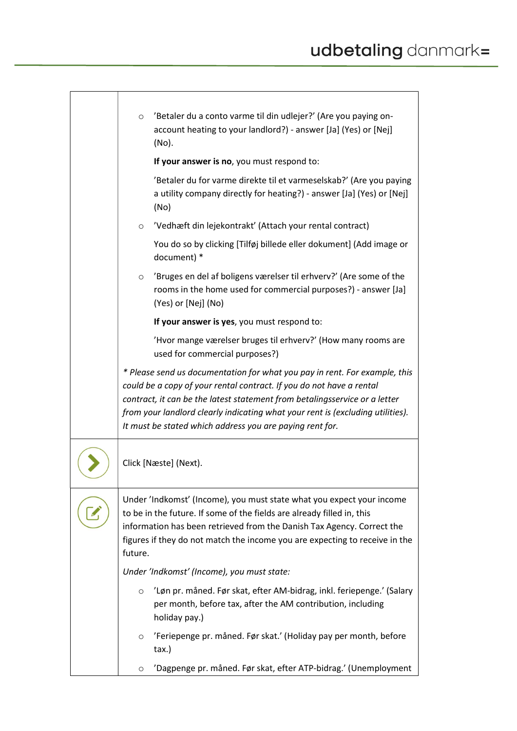| 'Betaler du a conto varme til din udlejer?' (Are you paying on-<br>$\circ$<br>account heating to your landlord?) - answer [Ja] (Yes) or [Nej]<br>(No).                                                                                                                                                                                                                         |
|--------------------------------------------------------------------------------------------------------------------------------------------------------------------------------------------------------------------------------------------------------------------------------------------------------------------------------------------------------------------------------|
| If your answer is no, you must respond to:                                                                                                                                                                                                                                                                                                                                     |
| 'Betaler du for varme direkte til et varmeselskab?' (Are you paying<br>a utility company directly for heating?) - answer [Ja] (Yes) or [Nej]<br>(No)                                                                                                                                                                                                                           |
| 'Vedhæft din lejekontrakt' (Attach your rental contract)<br>$\circ$                                                                                                                                                                                                                                                                                                            |
| You do so by clicking [Tilføj billede eller dokument] (Add image or<br>document) *                                                                                                                                                                                                                                                                                             |
| 'Bruges en del af boligens værelser til erhverv?' (Are some of the<br>$\circ$<br>rooms in the home used for commercial purposes?) - answer [Ja]<br>(Yes) or [Nej] (No)                                                                                                                                                                                                         |
| If your answer is yes, you must respond to:                                                                                                                                                                                                                                                                                                                                    |
| 'Hvor mange værelser bruges til erhverv?' (How many rooms are<br>used for commercial purposes?)                                                                                                                                                                                                                                                                                |
| * Please send us documentation for what you pay in rent. For example, this<br>could be a copy of your rental contract. If you do not have a rental<br>contract, it can be the latest statement from betalingsservice or a letter<br>from your landlord clearly indicating what your rent is (excluding utilities).<br>It must be stated which address you are paying rent for. |
| Click [Næste] (Next).                                                                                                                                                                                                                                                                                                                                                          |
| Under 'Indkomst' (Income), you must state what you expect your income<br>to be in the future. If some of the fields are already filled in, this<br>information has been retrieved from the Danish Tax Agency. Correct the<br>figures if they do not match the income you are expecting to receive in the<br>future.                                                            |
| Under 'Indkomst' (Income), you must state:                                                                                                                                                                                                                                                                                                                                     |
| 'Løn pr. måned. Før skat, efter AM-bidrag, inkl. feriepenge.' (Salary<br>$\circ$<br>per month, before tax, after the AM contribution, including<br>holiday pay.)                                                                                                                                                                                                               |
| 'Feriepenge pr. måned. Før skat.' (Holiday pay per month, before<br>$\circ$<br>tax.)                                                                                                                                                                                                                                                                                           |
| 'Dagpenge pr. måned. Før skat, efter ATP-bidrag.' (Unemployment<br>$\circ$                                                                                                                                                                                                                                                                                                     |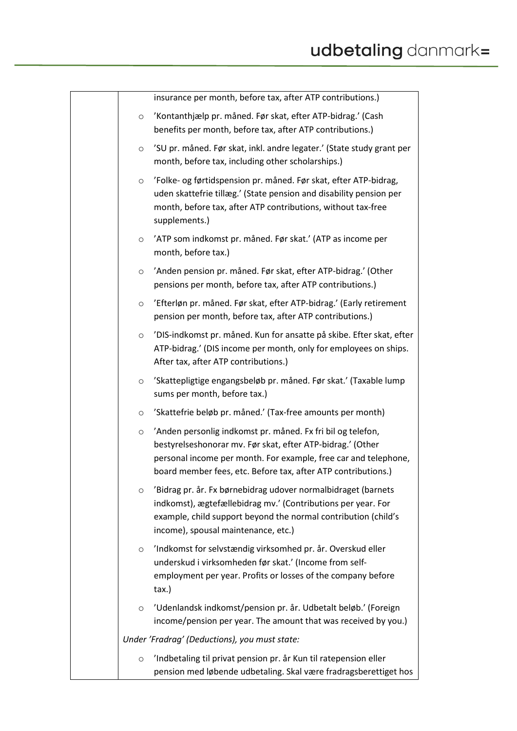|                                                   | insurance per month, before tax, after ATP contributions.)                                                                                                                                                                                                    |
|---------------------------------------------------|---------------------------------------------------------------------------------------------------------------------------------------------------------------------------------------------------------------------------------------------------------------|
|                                                   | 'Kontanthjælp pr. måned. Før skat, efter ATP-bidrag.' (Cash<br>benefits per month, before tax, after ATP contributions.)                                                                                                                                      |
| month, before tax, including other scholarships.) | 'SU pr. måned. Før skat, inkl. andre legater.' (State study grant per                                                                                                                                                                                         |
| supplements.)                                     | 'Folke- og førtidspension pr. måned. Før skat, efter ATP-bidrag,<br>uden skattefrie tillæg.' (State pension and disability pension per<br>month, before tax, after ATP contributions, without tax-free                                                        |
| $\circ$<br>month, before tax.)                    | 'ATP som indkomst pr. måned. Før skat.' (ATP as income per                                                                                                                                                                                                    |
|                                                   | 'Anden pension pr. måned. Før skat, efter ATP-bidrag.' (Other<br>pensions per month, before tax, after ATP contributions.)                                                                                                                                    |
|                                                   | 'Efterløn pr. måned. Før skat, efter ATP-bidrag.' (Early retirement<br>pension per month, before tax, after ATP contributions.)                                                                                                                               |
| After tax, after ATP contributions.)              | 'DIS-indkomst pr. måned. Kun for ansatte på skibe. Efter skat, efter<br>ATP-bidrag.' (DIS income per month, only for employees on ships.                                                                                                                      |
| sums per month, before tax.)                      | 'Skattepligtige engangsbeløb pr. måned. Før skat.' (Taxable lump                                                                                                                                                                                              |
|                                                   | 'Skattefrie beløb pr. måned.' (Tax-free amounts per month)                                                                                                                                                                                                    |
|                                                   | 'Anden personlig indkomst pr. måned. Fx fri bil og telefon,<br>bestyrelseshonorar mv. Før skat, efter ATP-bidrag.' (Other<br>personal income per month. For example, free car and telephone,<br>board member fees, etc. Before tax, after ATP contributions.) |
| income), spousal maintenance, etc.)               | 'Bidrag pr. år. Fx børnebidrag udover normalbidraget (barnets<br>indkomst), ægtefællebidrag mv.' (Contributions per year. For<br>example, child support beyond the normal contribution (child's                                                               |
| tax.)                                             | 'Indkomst for selvstændig virksomhed pr. år. Overskud eller<br>underskud i virksomheden før skat.' (Income from self-<br>employment per year. Profits or losses of the company before                                                                         |
|                                                   | 'Udenlandsk indkomst/pension pr. år. Udbetalt beløb.' (Foreign<br>income/pension per year. The amount that was received by you.)                                                                                                                              |
| Under 'Fradrag' (Deductions), you must state:     |                                                                                                                                                                                                                                                               |
|                                                   | 'Indbetaling til privat pension pr. år Kun til ratepension eller<br>pension med løbende udbetaling. Skal være fradragsberettiget hos                                                                                                                          |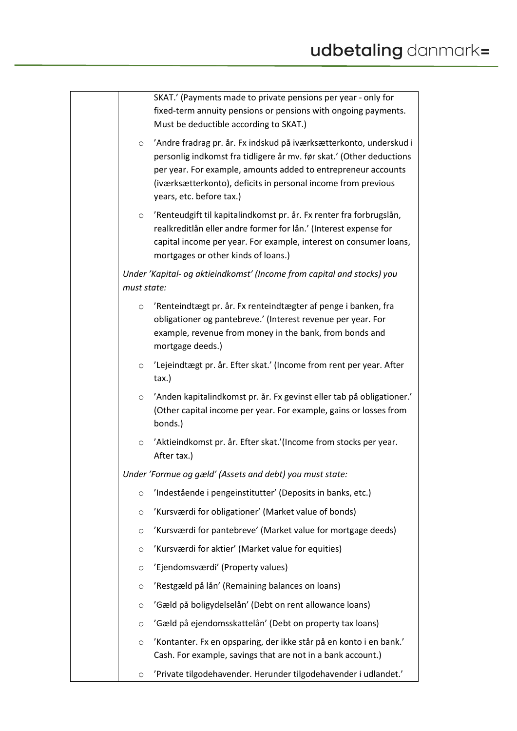|             | SKAT.' (Payments made to private pensions per year - only for<br>fixed-term annuity pensions or pensions with ongoing payments.<br>Must be deductible according to SKAT.)                                                                                                                                |  |
|-------------|----------------------------------------------------------------------------------------------------------------------------------------------------------------------------------------------------------------------------------------------------------------------------------------------------------|--|
| $\circ$     | 'Andre fradrag pr. år. Fx indskud på iværksætterkonto, underskud i<br>personlig indkomst fra tidligere år mv. før skat.' (Other deductions<br>per year. For example, amounts added to entrepreneur accounts<br>(iværksætterkonto), deficits in personal income from previous<br>years, etc. before tax.) |  |
| $\circ$     | 'Renteudgift til kapitalindkomst pr. år. Fx renter fra forbrugslån,<br>realkreditlån eller andre former for lån.' (Interest expense for<br>capital income per year. For example, interest on consumer loans,<br>mortgages or other kinds of loans.)                                                      |  |
| must state: | Under 'Kapital- og aktieindkomst' (Income from capital and stocks) you                                                                                                                                                                                                                                   |  |
| $\circ$     | 'Renteindtægt pr. år. Fx renteindtægter af penge i banken, fra<br>obligationer og pantebreve.' (Interest revenue per year. For<br>example, revenue from money in the bank, from bonds and<br>mortgage deeds.)                                                                                            |  |
| $\circ$     | 'Lejeindtægt pr. år. Efter skat.' (Income from rent per year. After<br>tax.)                                                                                                                                                                                                                             |  |
| $\circ$     | 'Anden kapitalindkomst pr. år. Fx gevinst eller tab på obligationer.'<br>(Other capital income per year. For example, gains or losses from<br>bonds.)                                                                                                                                                    |  |
| $\circ$     | 'Aktieindkomst pr. år. Efter skat.'(Income from stocks per year.<br>After tax.)                                                                                                                                                                                                                          |  |
|             | Under 'Formue og gæld' (Assets and debt) you must state:                                                                                                                                                                                                                                                 |  |
| $\circ$     | 'Indestående i pengeinstitutter' (Deposits in banks, etc.)                                                                                                                                                                                                                                               |  |
| $\circ$     | 'Kursværdi for obligationer' (Market value of bonds)                                                                                                                                                                                                                                                     |  |
| $\circ$     | 'Kursværdi for pantebreve' (Market value for mortgage deeds)                                                                                                                                                                                                                                             |  |
| $\circ$     | 'Kursværdi for aktier' (Market value for equities)                                                                                                                                                                                                                                                       |  |
| $\circ$     | 'Ejendomsværdi' (Property values)                                                                                                                                                                                                                                                                        |  |
| O           | 'Restgæld på lån' (Remaining balances on loans)                                                                                                                                                                                                                                                          |  |
| $\circ$     | 'Gæld på boligydelselån' (Debt on rent allowance loans)                                                                                                                                                                                                                                                  |  |
| $\circ$     | 'Gæld på ejendomsskattelån' (Debt on property tax loans)                                                                                                                                                                                                                                                 |  |
| $\circ$     | 'Kontanter. Fx en opsparing, der ikke står på en konto i en bank.'<br>Cash. For example, savings that are not in a bank account.)                                                                                                                                                                        |  |
| $\circ$     | 'Private tilgodehavender. Herunder tilgodehavender i udlandet.'                                                                                                                                                                                                                                          |  |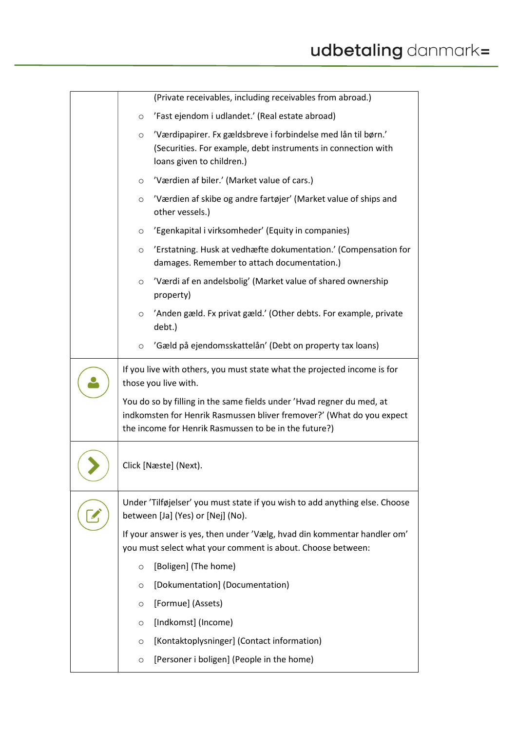| (Private receivables, including receivables from abroad.)                                                                                                                                               |
|---------------------------------------------------------------------------------------------------------------------------------------------------------------------------------------------------------|
| 'Fast ejendom i udlandet.' (Real estate abroad)<br>$\circ$                                                                                                                                              |
| 'Værdipapirer. Fx gældsbreve i forbindelse med lån til børn.'<br>$\circ$<br>(Securities. For example, debt instruments in connection with<br>loans given to children.)                                  |
| 'Værdien af biler.' (Market value of cars.)<br>O                                                                                                                                                        |
| 'Værdien af skibe og andre fartøjer' (Market value of ships and<br>$\circ$<br>other vessels.)                                                                                                           |
| 'Egenkapital i virksomheder' (Equity in companies)<br>$\circ$                                                                                                                                           |
| 'Erstatning. Husk at vedhæfte dokumentation.' (Compensation for<br>$\circ$<br>damages. Remember to attach documentation.)                                                                               |
| 'Værdi af en andelsbolig' (Market value of shared ownership<br>$\circ$<br>property)                                                                                                                     |
| 'Anden gæld. Fx privat gæld.' (Other debts. For example, private<br>$\circ$<br>debt.)                                                                                                                   |
| 'Gæld på ejendomsskattelån' (Debt on property tax loans)<br>$\circ$                                                                                                                                     |
| If you live with others, you must state what the projected income is for<br>those you live with.                                                                                                        |
| You do so by filling in the same fields under 'Hvad regner du med, at<br>indkomsten for Henrik Rasmussen bliver fremover?' (What do you expect<br>the income for Henrik Rasmussen to be in the future?) |
| Click [Næste] (Next).                                                                                                                                                                                   |
| Under 'Tilføjelser' you must state if you wish to add anything else. Choose<br>between [Ja] (Yes) or [Nej] (No).                                                                                        |
| If your answer is yes, then under 'Vælg, hvad din kommentar handler om'<br>you must select what your comment is about. Choose between:                                                                  |
| [Boligen] (The home)<br>$\circ$                                                                                                                                                                         |
| [Dokumentation] (Documentation)<br>O                                                                                                                                                                    |
| [Formue] (Assets)<br>$\circ$                                                                                                                                                                            |
| [Indkomst] (Income)<br>O                                                                                                                                                                                |
| [Kontaktoplysninger] (Contact information)<br>O                                                                                                                                                         |
| [Personer i boligen] (People in the home)<br>O                                                                                                                                                          |